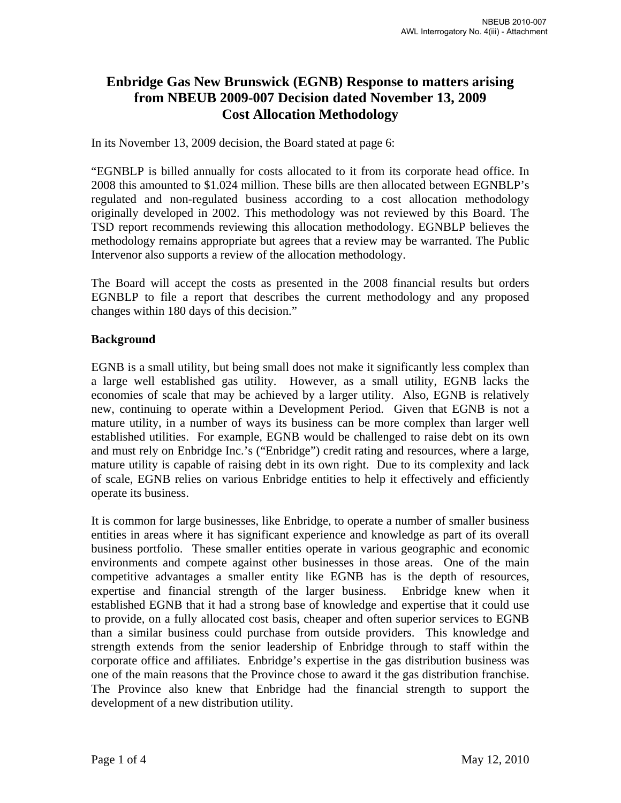# **Enbridge Gas New Brunswick (EGNB) Response to matters arising from NBEUB 2009-007 Decision dated November 13, 2009 Cost Allocation Methodology**

In its November 13, 2009 decision, the Board stated at page 6:

"EGNBLP is billed annually for costs allocated to it from its corporate head office. In 2008 this amounted to \$1.024 million. These bills are then allocated between EGNBLP's regulated and non-regulated business according to a cost allocation methodology originally developed in 2002. This methodology was not reviewed by this Board. The TSD report recommends reviewing this allocation methodology. EGNBLP believes the methodology remains appropriate but agrees that a review may be warranted. The Public Intervenor also supports a review of the allocation methodology.

The Board will accept the costs as presented in the 2008 financial results but orders EGNBLP to file a report that describes the current methodology and any proposed changes within 180 days of this decision."

# **Background**

EGNB is a small utility, but being small does not make it significantly less complex than a large well established gas utility. However, as a small utility, EGNB lacks the economies of scale that may be achieved by a larger utility. Also, EGNB is relatively new, continuing to operate within a Development Period. Given that EGNB is not a mature utility, in a number of ways its business can be more complex than larger well established utilities. For example, EGNB would be challenged to raise debt on its own and must rely on Enbridge Inc.'s ("Enbridge") credit rating and resources, where a large, mature utility is capable of raising debt in its own right. Due to its complexity and lack of scale, EGNB relies on various Enbridge entities to help it effectively and efficiently operate its business.

It is common for large businesses, like Enbridge, to operate a number of smaller business entities in areas where it has significant experience and knowledge as part of its overall business portfolio. These smaller entities operate in various geographic and economic environments and compete against other businesses in those areas. One of the main competitive advantages a smaller entity like EGNB has is the depth of resources, expertise and financial strength of the larger business. Enbridge knew when it established EGNB that it had a strong base of knowledge and expertise that it could use to provide, on a fully allocated cost basis, cheaper and often superior services to EGNB than a similar business could purchase from outside providers. This knowledge and strength extends from the senior leadership of Enbridge through to staff within the corporate office and affiliates. Enbridge's expertise in the gas distribution business was one of the main reasons that the Province chose to award it the gas distribution franchise. The Province also knew that Enbridge had the financial strength to support the development of a new distribution utility.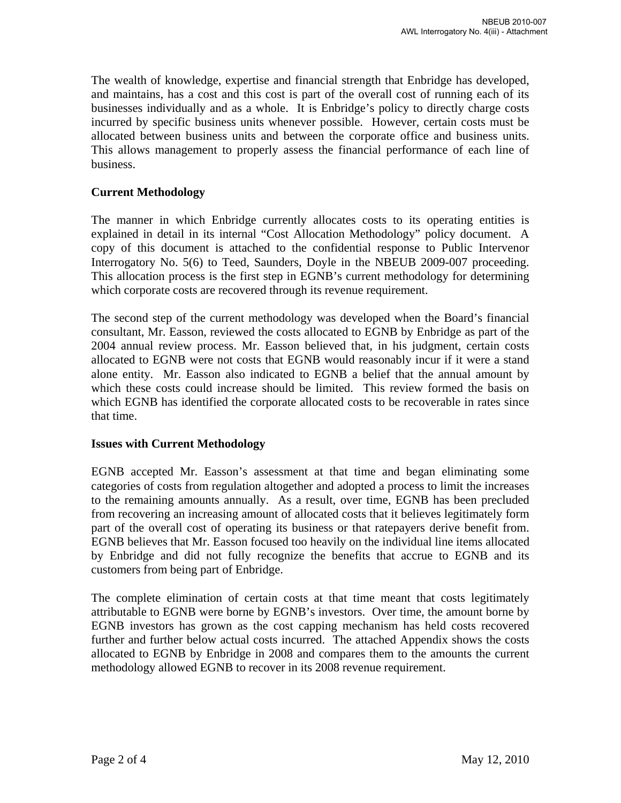The wealth of knowledge, expertise and financial strength that Enbridge has developed, and maintains, has a cost and this cost is part of the overall cost of running each of its businesses individually and as a whole. It is Enbridge's policy to directly charge costs incurred by specific business units whenever possible. However, certain costs must be allocated between business units and between the corporate office and business units. This allows management to properly assess the financial performance of each line of business.

# **Current Methodology**

The manner in which Enbridge currently allocates costs to its operating entities is explained in detail in its internal "Cost Allocation Methodology" policy document. A copy of this document is attached to the confidential response to Public Intervenor Interrogatory No. 5(6) to Teed, Saunders, Doyle in the NBEUB 2009-007 proceeding. This allocation process is the first step in EGNB's current methodology for determining which corporate costs are recovered through its revenue requirement.

The second step of the current methodology was developed when the Board's financial consultant, Mr. Easson, reviewed the costs allocated to EGNB by Enbridge as part of the 2004 annual review process. Mr. Easson believed that, in his judgment, certain costs allocated to EGNB were not costs that EGNB would reasonably incur if it were a stand alone entity. Mr. Easson also indicated to EGNB a belief that the annual amount by which these costs could increase should be limited. This review formed the basis on which EGNB has identified the corporate allocated costs to be recoverable in rates since that time.

#### **Issues with Current Methodology**

EGNB accepted Mr. Easson's assessment at that time and began eliminating some categories of costs from regulation altogether and adopted a process to limit the increases to the remaining amounts annually. As a result, over time, EGNB has been precluded from recovering an increasing amount of allocated costs that it believes legitimately form part of the overall cost of operating its business or that ratepayers derive benefit from. EGNB believes that Mr. Easson focused too heavily on the individual line items allocated by Enbridge and did not fully recognize the benefits that accrue to EGNB and its customers from being part of Enbridge.

The complete elimination of certain costs at that time meant that costs legitimately attributable to EGNB were borne by EGNB's investors. Over time, the amount borne by EGNB investors has grown as the cost capping mechanism has held costs recovered further and further below actual costs incurred. The attached Appendix shows the costs allocated to EGNB by Enbridge in 2008 and compares them to the amounts the current methodology allowed EGNB to recover in its 2008 revenue requirement.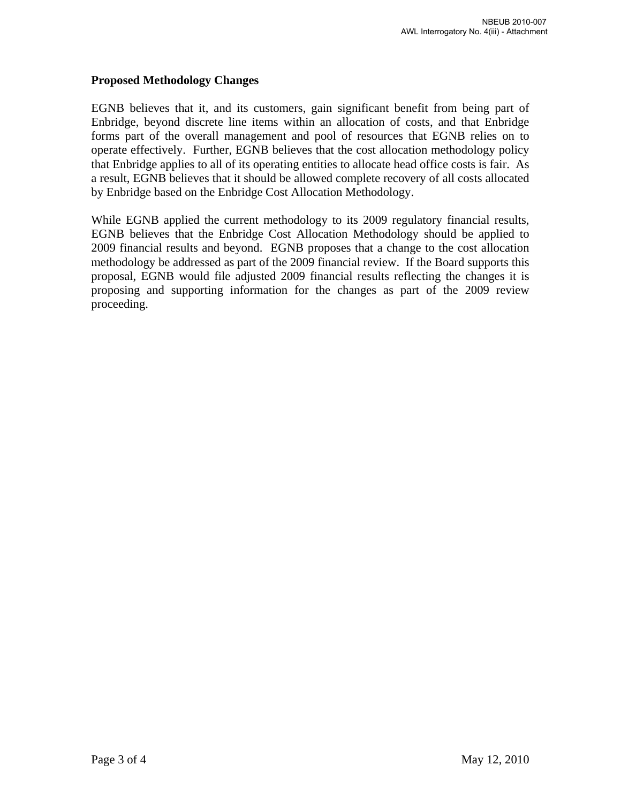# **Proposed Methodology Changes**

EGNB believes that it, and its customers, gain significant benefit from being part of Enbridge, beyond discrete line items within an allocation of costs, and that Enbridge forms part of the overall management and pool of resources that EGNB relies on to operate effectively. Further, EGNB believes that the cost allocation methodology policy that Enbridge applies to all of its operating entities to allocate head office costs is fair. As a result, EGNB believes that it should be allowed complete recovery of all costs allocated by Enbridge based on the Enbridge Cost Allocation Methodology.

While EGNB applied the current methodology to its 2009 regulatory financial results, EGNB believes that the Enbridge Cost Allocation Methodology should be applied to 2009 financial results and beyond. EGNB proposes that a change to the cost allocation methodology be addressed as part of the 2009 financial review. If the Board supports this proposal, EGNB would file adjusted 2009 financial results reflecting the changes it is proposing and supporting information for the changes as part of the 2009 review proceeding.